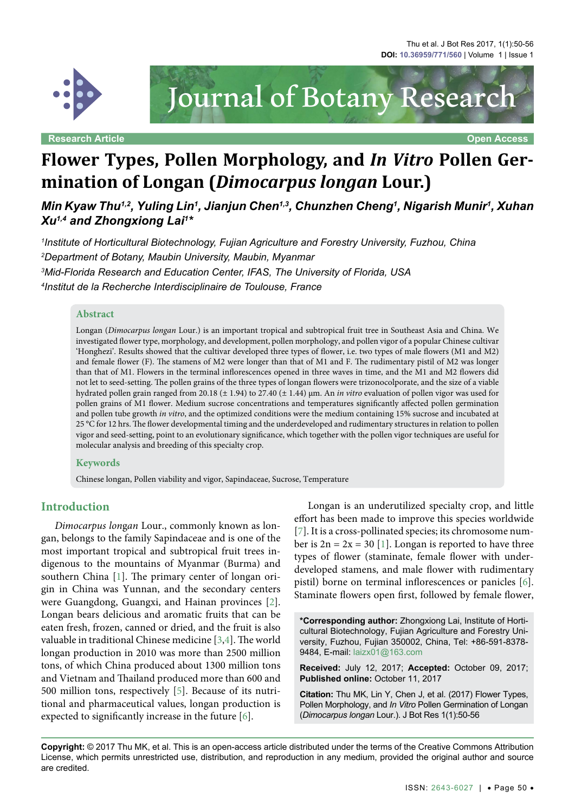

**Research Article Open Access**



# **Flower Types, Pollen Morphology, and** *In Vitro* **Pollen Germination of Longan (***Dimocarpus longan* **Lour.)**

*Min Kyaw Thu* $^{1,2}$ *, Yuling Lin* $^{1}$ *, Jianjun Chen* $^{1,3}$ *, Chunzhen Cheng* $^{1}$ *, Nigarish Munir* $^{1}$ *, Xuhan Xu1,4 and Zhongxiong Lai1 \**

 *Institute of Horticultural Biotechnology, Fujian Agriculture and Forestry University, Fuzhou, China Department of Botany, Maubin University, Maubin, Myanmar Mid-Florida Research and Education Center, IFAS, The University of Florida, USA Institut de la Recherche Interdisciplinaire de Toulouse, France*

#### **Abstract**

Longan (*Dimocarpus longan* Lour.) is an important tropical and subtropical fruit tree in Southeast Asia and China. We investigated flower type, morphology, and development, pollen morphology, and pollen vigor of a popular Chinese cultivar 'Honghezi'. Results showed that the cultivar developed three types of flower, i.e. two types of male flowers (M1 and M2) and female flower (F). The stamens of M2 were longer than that of M1 and F. The rudimentary pistil of M2 was longer than that of M1. Flowers in the terminal inflorescences opened in three waves in time, and the M1 and M2 flowers did not let to seed-setting. The pollen grains of the three types of longan flowers were trizonocolporate, and the size of a viable hydrated pollen grain ranged from 20.18 (± 1.94) to 27.40 (± 1.44) µm. An *in vitro* evaluation of pollen vigor was used for pollen grains of M1 flower. Medium sucrose concentrations and temperatures significantly affected pollen germination and pollen tube growth *in vitro*, and the optimized conditions were the medium containing 15% sucrose and incubated at 25 °C for 12 hrs. The flower developmental timing and the underdeveloped and rudimentary structures in relation to pollen vigor and seed-setting, point to an evolutionary significance, which together with the pollen vigor techniques are useful for molecular analysis and breeding of this specialty crop.

#### **Keywords**

Chinese longan, Pollen viability and vigor, Sapindaceae, Sucrose, Temperature

#### **Introduction**

*Dimocarpus lon*g*an* Lour., commonly known as longan, belongs to the family Sapindaceae and is one of the most important tropical and subtropical fruit trees indigenous to the mountains of Myanmar (Burma) and southern China [\[1\]](#page-5-0). The primary center of longan origin in China was Yunnan, and the secondary centers were Guangdong, Guangxi, and Hainan provinces [[2](#page-5-1)]. Longan bears delicious and aromatic fruits that can be eaten fresh, frozen, canned or dried, and the fruit is also valuable in traditional Chinese medicine [[3](#page-5-2),[4\]](#page-5-3). The world longan production in 2010 was more than 2500 million tons, of which China produced about 1300 million tons and Vietnam and Thailand produced more than 600 and 500 million tons, respectively [\[5](#page-5-4)]. Because of its nutritional and pharmaceutical values, longan production is expected to significantly increase in the future [\[6](#page-5-5)].

Longan is an underutilized specialty crop, and little effort has been made to improve this species worldwide [[7\]](#page-5-6). It is a cross-pollinated species; its chromosome number is  $2n = 2x = 30$  [\[1](#page-5-0)]. Longan is reported to have three types of flower (staminate, female flower with underdeveloped stamens, and male flower with rudimentary pistil) borne on terminal inflorescences or panicles [\[6](#page-5-5)]. Staminate flowers open first, followed by female flower,

**\*Corresponding author:** Zhongxiong Lai, Institute of Horticultural Biotechnology, Fujian Agriculture and Forestry University, Fuzhou, Fujian 350002, China, Tel: +86-591-8378- 9484, E-mail: laizx01@163.com

**Received:** July 12, 2017; **Accepted:** October 09, 2017; **Published online:** October 11, 2017

**Citation:** Thu MK, Lin Y, Chen J, et al. (2017) Flower Types, Pollen Morphology, and *In Vitro* Pollen Germination of Longan (*Dimocarpus longan* Lour.). J Bot Res 1(1):50-56

**Copyright:** © 2017 Thu MK, et al. This is an open-access article distributed under the terms of the Creative Commons Attribution License, which permits unrestricted use, distribution, and reproduction in any medium, provided the original author and source are credited.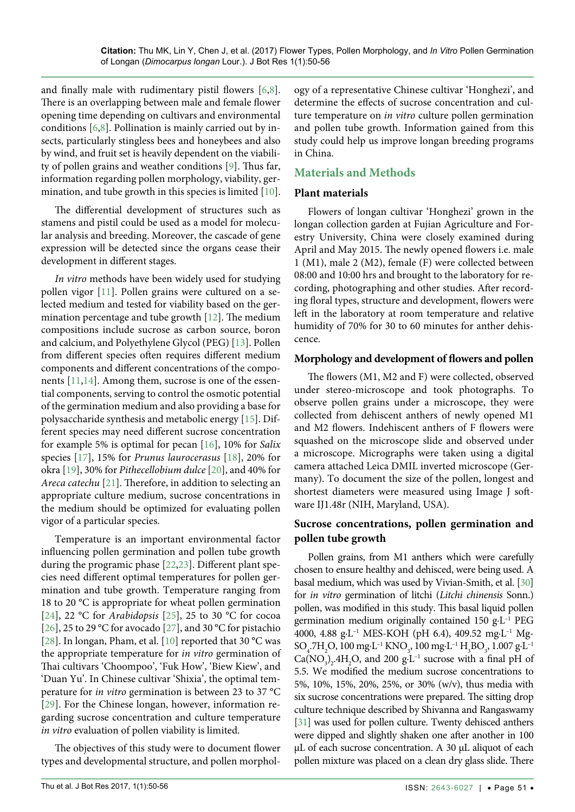and finally male with rudimentary pistil flowers [\[6](#page-5-5),[8](#page-5-7)]. There is an overlapping between male and female flower opening time depending on cultivars and environmental conditions [\[6](#page-5-5),[8](#page-5-7)]. Pollination is mainly carried out by insects, particularly stingless bees and honeybees and also by wind, and fruit set is heavily dependent on the viability of pollen grains and weather conditions [[9](#page-5-8)]. Thus far, information regarding pollen morphology, viability, germination, and tube growth in this species is limited [[10](#page-5-9)].

The differential development of structures such as stamens and pistil could be used as a model for molecular analysis and breeding. Moreover, the cascade of gene expression will be detected since the organs cease their development in different stages.

*In vitro* methods have been widely used for studying pollen vigor [[11](#page-5-10)]. Pollen grains were cultured on a selected medium and tested for viability based on the germination percentage and tube growth [\[12\]](#page-5-11). The medium compositions include sucrose as carbon source, boron and calcium, and Polyethylene Glycol (PEG) [\[13](#page-5-12)]. Pollen from different species often requires different medium components and different concentrations of the components [\[11](#page-5-10)[,14\]](#page-5-13). Among them, sucrose is one of the essential components, serving to control the osmotic potential of the germination medium and also providing a base for polysaccharide synthesis and metabolic energy [\[15\]](#page-5-14). Different species may need different sucrose concentration for example 5% is optimal for pecan [\[16\]](#page-5-15), 10% for *Salix* species [\[17\]](#page-5-16), 15% for *Prunus laurocerasus* [\[18\]](#page-5-17), 20% for okra [\[19\]](#page-5-18), 30% for *Pithecellobium dulce* [[20](#page-5-19)], and 40% for *Areca catechu* [[21](#page-5-20)]. Therefore, in addition to selecting an appropriate culture medium, sucrose concentrations in the medium should be optimized for evaluating pollen vigor of a particular species.

Temperature is an important environmental factor influencing pollen germination and pollen tube growth during the programic phase [[22](#page-5-21),[23](#page-5-22)]. Different plant species need different optimal temperatures for pollen germination and tube growth. Temperature ranging from 18 to 20 °C is appropriate for wheat pollen germination [\[24\]](#page-5-23), 22 °C for *Arabidopsis* [[25](#page-5-24)], 25 to 30 °C for cocoa [\[26\]](#page-5-25), 25 to 29 °C for avocado [\[27\]](#page-5-26), and 30 °C for pistachio [\[28\]](#page-5-27). In longan, Pham, et al. [[10](#page-5-9)] reported that 30 °C was the appropriate temperature for *in vitro* germination of Thai cultivars 'Choompoo', 'Fuk How', 'Biew Kiew', and 'Duan Yu'. In Chinese cultivar 'Shixia', the optimal temperature for *in vitro* germination is between 23 to 37 °C [\[29\]](#page-5-28). For the Chinese longan, however, information regarding sucrose concentration and culture temperature *in vitro* evaluation of pollen viability is limited.

The objectives of this study were to document flower types and developmental structure, and pollen morphology of a representative Chinese cultivar 'Honghezi', and determine the effects of sucrose concentration and culture temperature on *in vitro* culture pollen germination and pollen tube growth. Information gained from this study could help us improve longan breeding programs in China.

# **Materials and Methods**

### **Plant materials**

Flowers of longan cultivar 'Honghezi' grown in the longan collection garden at Fujian Agriculture and Forestry University, China were closely examined during April and May 2015. The newly opened flowers i.e. male 1 (M1), male 2 (M2), female (F) were collected between 08:00 and 10:00 hrs and brought to the laboratory for recording, photographing and other studies. After recording floral types, structure and development, flowers were left in the laboratory at room temperature and relative humidity of 70% for 30 to 60 minutes for anther dehiscence.

## **Morphology and development of flowers and pollen**

The flowers (M1, M2 and F) were collected, observed under stereo-microscope and took photographs. To observe pollen grains under a microscope, they were collected from dehiscent anthers of newly opened M1 and M2 flowers. Indehiscent anthers of F flowers were squashed on the microscope slide and observed under a microscope. Micrographs were taken using a digital camera attached Leica DMIL inverted microscope (Germany). To document the size of the pollen, longest and shortest diameters were measured using Image J software IJ1.48r (NIH, Maryland, USA).

## **Sucrose concentrations, pollen germination and pollen tube growth**

Pollen grains, from M1 anthers which were carefully chosen to ensure healthy and dehisced, were being used. A basal medium, which was used by Vivian-Smith, et al. [\[30\]](#page-5-29) for *in vitro* germination of litchi (*Litchi chinensis* Sonn.) pollen, was modified in this study. This basal liquid pollen germination medium originally contained 150 g·L–1 PEG 4000, 4.88 g·L–1 MES-KOH (pH 6.4), 409.52 mg·L–1 Mg- $\rm SO_4$ .7 $\rm H_2O$ , 100 mg·L<sup>-1</sup> KNO<sub>3</sub>, 100 mg·L<sup>-1</sup> H<sub>3</sub>BO<sub>3</sub>, 1.007 g·L<sup>-1</sup>  $Ca(NO<sub>3</sub>)<sub>2</sub>$ .4H<sub>2</sub>O, and 200 g·L<sup>-1</sup> sucrose with a final pH of 5.5. We modified the medium sucrose concentrations to 5%, 10%, 15%, 20%, 25%, or 30% (w/v), thus media with six sucrose concentrations were prepared. The sitting drop culture technique described by Shivanna and Rangaswamy [\[31](#page-5-30)] was used for pollen culture. Twenty dehisced anthers were dipped and slightly shaken one after another in 100 µL of each sucrose concentration. A 30 µL aliquot of each pollen mixture was placed on a clean dry glass slide. There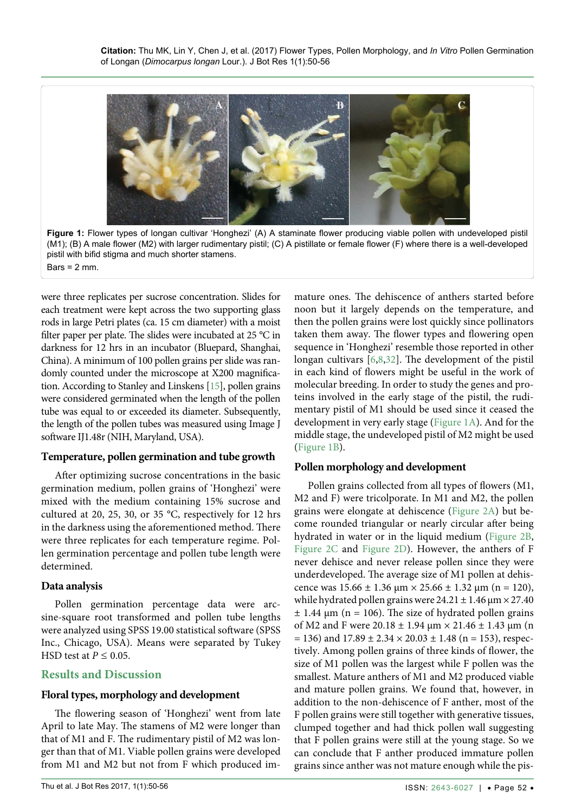<span id="page-2-0"></span>

were three replicates per sucrose concentration. Slides for each treatment were kept across the two supporting glass rods in large Petri plates (ca. 15 cm diameter) with a moist filter paper per plate. The slides were incubated at 25 °C in darkness for 12 hrs in an incubator (Bluepard, Shanghai, China). A minimum of 100 pollen grains per slide was randomly counted under the microscope at X200 magnification. According to Stanley and Linskens [\[15](#page-5-14)], pollen grains were considered germinated when the length of the pollen tube was equal to or exceeded its diameter. Subsequently, the length of the pollen tubes was measured using Image J software IJ1.48r (NIH, Maryland, USA).

#### **Temperature, pollen germination and tube growth**

After optimizing sucrose concentrations in the basic germination medium, pollen grains of 'Honghezi' were mixed with the medium containing 15% sucrose and cultured at 20, 25, 30, or 35 °C, respectively for 12 hrs in the darkness using the aforementioned method. There were three replicates for each temperature regime. Pollen germination percentage and pollen tube length were determined.

#### **Data analysis**

Ĩ

Bars =  $2$  mm.

Pollen germination percentage data were arcsine-square root transformed and pollen tube lengths were analyzed using SPSS 19.00 statistical software (SPSS Inc., Chicago, USA). Means were separated by Tukey HSD test at *P ≤* 0.05.

# **Results and Discussion**

# **Floral types, morphology and development**

The flowering season of 'Honghezi' went from late April to late May. The stamens of M2 were longer than that of M1 and F. The rudimentary pistil of M2 was longer than that of M1. Viable pollen grains were developed from M1 and M2 but not from F which produced immature ones. The dehiscence of anthers started before noon but it largely depends on the temperature, and then the pollen grains were lost quickly since pollinators taken them away. The flower types and flowering open sequence in 'Honghezi' resemble those reported in other longan cultivars [[6](#page-5-5),[8](#page-5-7)[,32\]](#page-5-31). The development of the pistil in each kind of flowers might be useful in the work of molecular breeding. In order to study the genes and proteins involved in the early stage of the pistil, the rudimentary pistil of M1 should be used since it ceased the development in very early stage [\(Figure 1A](#page-2-0)). And for the middle stage, the undeveloped pistil of M2 might be used ([Figure 1B](#page-2-0)).

# **Pollen morphology and development**

Pollen grains collected from all types of flowers (M1, M2 and F) were tricolporate. In M1 and M2, the pollen grains were elongate at dehiscence ([Figure 2A\)](#page-3-0) but become rounded triangular or nearly circular after being hydrated in water or in the liquid medium [\(Figure 2B](#page-3-0), [Figure 2C](#page-3-0) and [Figure 2D](#page-3-0)). However, the anthers of F never dehisce and never release pollen since they were underdeveloped. The average size of M1 pollen at dehiscence was  $15.66 \pm 1.36 \text{ } \mu \text{m} \times 25.66 \pm 1.32 \text{ } \mu \text{m} \text{ } (n = 120),$ while hydrated pollen grains were  $24.21 \pm 1.46$  µm  $\times$  27.40  $\pm$  1.44 µm (n = 106). The size of hydrated pollen grains of M2 and F were 20.18  $\pm$  1.94  $\mu$ m  $\times$  21.46  $\pm$  1.43  $\mu$ m (n  $= 136$ ) and  $17.89 \pm 2.34 \times 20.03 \pm 1.48$  (n = 153), respectively. Among pollen grains of three kinds of flower, the size of M1 pollen was the largest while F pollen was the smallest. Mature anthers of M1 and M2 produced viable and mature pollen grains. We found that, however, in addition to the non-dehiscence of F anther, most of the F pollen grains were still together with generative tissues, clumped together and had thick pollen wall suggesting that F pollen grains were still at the young stage. So we can conclude that F anther produced immature pollen grains since anther was not mature enough while the pis-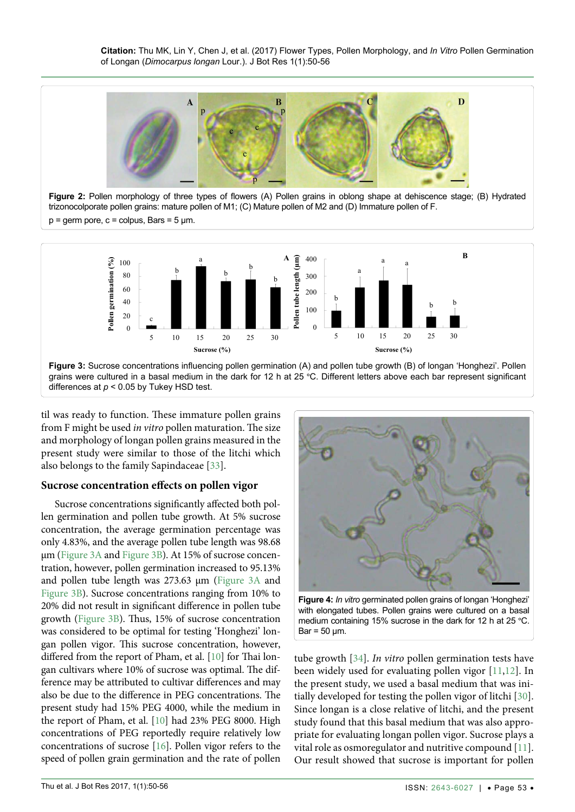<span id="page-3-0"></span>

**Figure 2:** Pollen morphology of three types of flowers (A) Pollen grains in oblong shape at dehiscence stage; (B) Hydrated trizonocolporate pollen grains: mature pollen of M1; (C) Mature pollen of M2 and (D) Immature pollen of F.

 $p =$  germ pore,  $c =$  colpus, Bars = 5  $\mu$ m.

<span id="page-3-1"></span>

til was ready to function. These immature pollen grains from F might be used *in vitro* pollen maturation. The size and morphology of longan pollen grains measured in the present study were similar to those of the litchi which

# **Sucrose concentration effects on pollen vigor**

also belongs to the family Sapindaceae [\[33\]](#page-6-1).

Sucrose concentrations significantly affected both pollen germination and pollen tube growth. At 5% sucrose concentration, the average germination percentage was only 4.83%, and the average pollen tube length was 98.68 µm [\(Figure 3A](#page-3-1) and [Figure 3B](#page-3-1)). At 15% of sucrose concentration, however, pollen germination increased to 95.13% and pollen tube length was 273.63 µm ([Figure 3A](#page-3-1) and [Figure 3B](#page-3-1)). Sucrose concentrations ranging from 10% to 20% did not result in significant difference in pollen tube growth ([Figure 3B](#page-3-1)). Thus, 15% of sucrose concentration was considered to be optimal for testing 'Honghezi' longan pollen vigor. This sucrose concentration, however, differed from the report of Pham, et al. [\[10\]](#page-5-9) for Thai longan cultivars where 10% of sucrose was optimal. The difference may be attributed to cultivar differences and may also be due to the difference in PEG concentrations. The present study had 15% PEG 4000, while the medium in the report of Pham, et al. [\[10\]](#page-5-9) had 23% PEG 8000. High concentrations of PEG reportedly require relatively low concentrations of sucrose [\[16\]](#page-5-15). Pollen vigor refers to the speed of pollen grain germination and the rate of pollen

<span id="page-3-2"></span>

**Figure 4:** *In vitro* germinated pollen grains of longan 'Honghezi' with elongated tubes. Pollen grains were cultured on a basal medium containing 15% sucrose in the dark for 12 h at 25 °C.  $Bar = 50 \mu m$ .

tube growth [[34](#page-6-0)]. *In vitro* pollen germination tests have been widely used for evaluating pollen vigor [[11](#page-5-10),[12\]](#page-5-11). In the present study, we used a basal medium that was initially developed for testing the pollen vigor of litchi [[30](#page-5-29)]. Since longan is a close relative of litchi, and the present study found that this basal medium that was also appropriate for evaluating longan pollen vigor. Sucrose plays a vital role as osmoregulator and nutritive compound [[11](#page-5-10)]. Our result showed that sucrose is important for pollen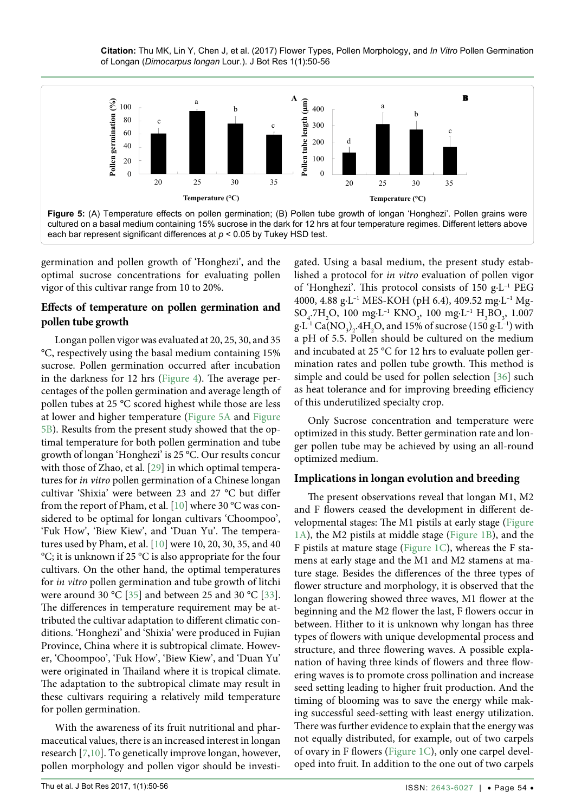**Citation:** Thu MK, Lin Y, Chen J, et al. (2017) Flower Types, Pollen Morphology, and *In Vitro* Pollen Germination of Longan (*Dimocarpus longan* Lour.). J Bot Res 1(1):50-56

<span id="page-4-0"></span>

germination and pollen growth of 'Honghezi', and the optimal sucrose concentrations for evaluating pollen vigor of this cultivar range from 10 to 20%.

## **Effects of temperature on pollen germination and pollen tube growth**

Longan pollen vigor was evaluated at 20, 25, 30, and 35 °C, respectively using the basal medium containing 15% sucrose. Pollen germination occurred after incubation in the darkness for 12 hrs ([Figure 4](#page-3-2)). The average percentages of the pollen germination and average length of pollen tubes at 25 °C scored highest while those are less at lower and higher temperature ([Figure 5A](#page-4-0) and [Figure](#page-4-0)  [5B](#page-4-0)). Results from the present study showed that the optimal temperature for both pollen germination and tube growth of longan 'Honghezi' is 25 °C. Our results concur with those of Zhao, et al. [\[29\]](#page-5-28) in which optimal temperatures for *in vitro* pollen germination of a Chinese longan cultivar 'Shixia' were between 23 and 27 °C but differ from the report of Pham, et al. [\[10\]](#page-5-9) where 30 °C was considered to be optimal for longan cultivars 'Choompoo', 'Fuk How', 'Biew Kiew', and 'Duan Yu'. The temperatures used by Pham, et al. [[10](#page-5-9)] were 10, 20, 30, 35, and 40 °C; it is unknown if 25 °C is also appropriate for the four cultivars. On the other hand, the optimal temperatures for *in vitro* pollen germination and tube growth of litchi were around 30 °C [[35](#page-6-3)] and between 25 and 30 °C [[33](#page-6-1)]. The differences in temperature requirement may be attributed the cultivar adaptation to different climatic conditions. 'Honghezi' and 'Shixia' were produced in Fujian Province, China where it is subtropical climate. However, 'Choompoo', 'Fuk How', 'Biew Kiew', and 'Duan Yu' were originated in Thailand where it is tropical climate. The adaptation to the subtropical climate may result in these cultivars requiring a relatively mild temperature for pollen germination.

With the awareness of its fruit nutritional and pharmaceutical values, there is an increased interest in longan research [\[7,](#page-5-6)[10\]](#page-5-9). To genetically improve longan, however, pollen morphology and pollen vigor should be investi-

gated. Using a basal medium, the present study established a protocol for *in vitro* evaluation of pollen vigor of 'Honghezi'. This protocol consists of 150 g·L–1 PEG 4000, 4.88 g·L–1 MES-KOH (pH 6.4), 409.52 mg·L–1 Mg- $SO_4$ .7H<sub>2</sub>O, 100 mg·L<sup>-1</sup> KNO<sub>3</sub>, 100 mg·L<sup>-1</sup> H<sub>3</sub>BO<sub>3</sub>, 1.007  $g \cdot L^{-1}$  Ca(NO<sub>3</sub>)<sub>2</sub>.4H<sub>2</sub>O, and 15% of sucrose (150 g $\cdot L^{-1}$ ) with a pH of 5.5. Pollen should be cultured on the medium and incubated at 25 °C for 12 hrs to evaluate pollen germination rates and pollen tube growth. This method is simple and could be used for pollen selection [[36](#page-6-2)] such as heat tolerance and for improving breeding efficiency of this underutilized specialty crop.

Only Sucrose concentration and temperature were optimized in this study. Better germination rate and longer pollen tube may be achieved by using an all-round optimized medium.

#### **Implications in longan evolution and breeding**

The present observations reveal that longan M1, M2 and F flowers ceased the development in different developmental stages: The M1 pistils at early stage [\(Figure](#page-2-0)  [1A\)](#page-2-0), the M2 pistils at middle stage [\(Figure 1B\)](#page-2-0), and the F pistils at mature stage [\(Figure 1C](#page-2-0)), whereas the F stamens at early stage and the M1 and M2 stamens at mature stage. Besides the differences of the three types of flower structure and morphology, it is observed that the longan flowering showed three waves, M1 flower at the beginning and the M2 flower the last, F flowers occur in between. Hither to it is unknown why longan has three types of flowers with unique developmental process and structure, and three flowering waves. A possible explanation of having three kinds of flowers and three flowering waves is to promote cross pollination and increase seed setting leading to higher fruit production. And the timing of blooming was to save the energy while making successful seed-setting with least energy utilization. There was further evidence to explain that the energy was not equally distributed, for example, out of two carpels of ovary in F flowers [\(Figure 1C](#page-2-0)), only one carpel developed into fruit. In addition to the one out of two carpels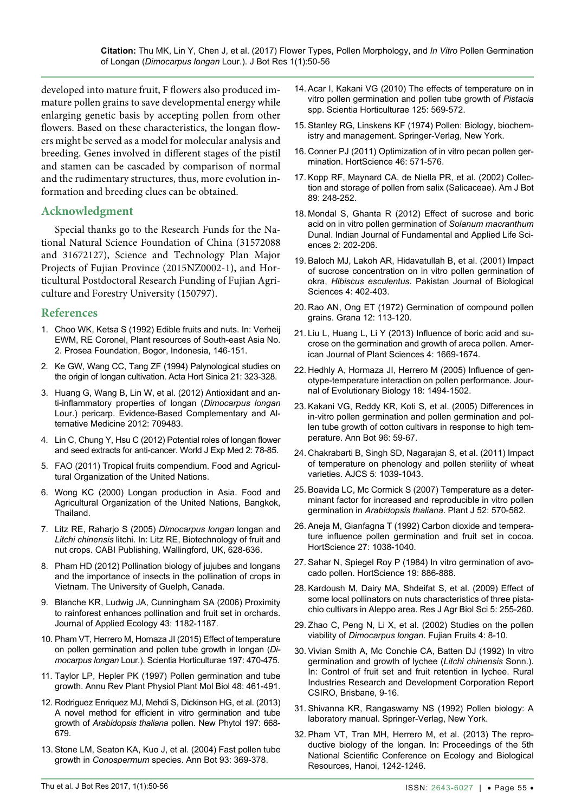developed into mature fruit, F flowers also produced immature pollen grains to save developmental energy while enlarging genetic basis by accepting pollen from other flowers. Based on these characteristics, the longan flowers might be served as a model for molecular analysis and breeding. Genes involved in different stages of the pistil and stamen can be cascaded by comparison of normal and the rudimentary structures, thus, more evolution information and breeding clues can be obtained.

## **Acknowledgment**

Special thanks go to the Research Funds for the National Natural Science Foundation of China (31572088 and 31672127), Science and Technology Plan Major Projects of Fujian Province (2015NZ0002-1), and Horticultural Postdoctoral Research Funding of Fujian Agriculture and Forestry University (150797).

#### **References**

- <span id="page-5-0"></span>1. Choo WK, Ketsa S (1992) Edible fruits and nuts. In: Verheij EWM, RE Coronel, Plant resources of South-east Asia No. 2. Prosea Foundation, Bogor, Indonesia, 146-151.
- <span id="page-5-1"></span>2. Ke GW, Wang CC, Tang ZF (1994) Palynological studies on the origin of longan cultivation. Acta Hort Sinica 21: 323-328.
- <span id="page-5-2"></span>3. [Huang G, Wang B, Lin W, et al. \(2012\) Antioxidant and an](https://www.hindawi.com/journals/ecam/2012/709483/)[ti-inflammatory properties of longan \(](https://www.hindawi.com/journals/ecam/2012/709483/)*Dimocarpus longan* [Lour.\) pericarp. Evidence-Based Complementary and Al](https://www.hindawi.com/journals/ecam/2012/709483/)[ternative Medicine 2012: 709483.](https://www.hindawi.com/journals/ecam/2012/709483/)
- <span id="page-5-3"></span>4. [Lin C, Chung Y, Hsu C \(2012\) Potential roles of longan flower](https://www.ncbi.nlm.nih.gov/pmc/articles/PMC3905590/)  [and seed extracts for anti-cancer. World J Exp Med 2: 78-85.](https://www.ncbi.nlm.nih.gov/pmc/articles/PMC3905590/)
- <span id="page-5-4"></span>5. FAO (2011) Tropical fruits compendium. Food and Agricultural Organization of the United Nations.
- <span id="page-5-5"></span>6. [Wong KC \(2000\) Longan production in Asia. Food and](http://www.fao.org/docrep/003/X6908E/x6908e00.htm)  [Agricultural Organization of the United Nations, Bangkok,](http://www.fao.org/docrep/003/X6908E/x6908e00.htm)  [Thailand.](http://www.fao.org/docrep/003/X6908E/x6908e00.htm)
- <span id="page-5-6"></span>7. Litz RE, Raharjo S (2005) *Dimocarpus longan* longan and *Litchi chinensis* litchi. In: Litz RE, Biotechnology of fruit and nut crops. CABI Publishing, Wallingford, UK, 628-636.
- <span id="page-5-7"></span>8. [Pham HD \(2012\) Pollination biology of jujubes and longans](https://atrium.lib.uoguelph.ca/xmlui/bitstream/handle/10214/3744/Hanh PhamThesis 19Jun12.pdf?sequence=1&isAllowed=y)  [and the importance of insects in the pollination of crops in](https://atrium.lib.uoguelph.ca/xmlui/bitstream/handle/10214/3744/Hanh PhamThesis 19Jun12.pdf?sequence=1&isAllowed=y)  [Vietnam. The University of Guelph, Canada.](https://atrium.lib.uoguelph.ca/xmlui/bitstream/handle/10214/3744/Hanh PhamThesis 19Jun12.pdf?sequence=1&isAllowed=y)
- <span id="page-5-8"></span>9. [Blanche KR, Ludwig JA, Cunningham SA \(2006\) Proximity](http://onlinelibrary.wiley.com/doi/10.1111/j.1365-2664.2006.01230.x/full)  [to rainforest enhances pollination and fruit set in orchards.](http://onlinelibrary.wiley.com/doi/10.1111/j.1365-2664.2006.01230.x/full)  [Journal of Applied Ecology 43: 1182-1187.](http://onlinelibrary.wiley.com/doi/10.1111/j.1365-2664.2006.01230.x/full)
- <span id="page-5-9"></span>10. [Pham VT, Herrero M, Homaza JI \(2015\) Effect of temperature](http://www.sciencedirect.com/science/article/pii/S0304423815302363)  [on pollen germination and pollen tube growth in longan \(](http://www.sciencedirect.com/science/article/pii/S0304423815302363)*Dimocarpus longan* [Lour.\). Scientia Horticulturae 197: 470-475.](http://www.sciencedirect.com/science/article/pii/S0304423815302363)
- <span id="page-5-10"></span>11. [Taylor LP, Hepler PK \(1997\) Pollen germination and tube](https://www.ncbi.nlm.nih.gov/pubmed/15012271)  [growth. Annu Rev Plant Physiol Plant Mol Biol 48: 461-491.](https://www.ncbi.nlm.nih.gov/pubmed/15012271)
- <span id="page-5-11"></span>12. [Rodriguez Enriquez MJ, Mehdi S, Dickinson HG, et al. \(2013\)](https://www.ncbi.nlm.nih.gov/pubmed/23173941)  [A novel method for efficient in vitro germination and tube](https://www.ncbi.nlm.nih.gov/pubmed/23173941)  growth of *Arabidopsis thaliana* [pollen. New Phytol 197: 668-](https://www.ncbi.nlm.nih.gov/pubmed/23173941) [679.](https://www.ncbi.nlm.nih.gov/pubmed/23173941)
- <span id="page-5-12"></span>13. [Stone LM, Seaton KA, Kuo J, et al. \(2004\) Fast pollen tube](https://www.ncbi.nlm.nih.gov/pubmed/14980970)  growth in *Conospermum* [species. Ann Bot 93: 369-378.](https://www.ncbi.nlm.nih.gov/pubmed/14980970)
- <span id="page-5-13"></span>14. [Acar I, Kakani VG \(2010\) The effects of temperature on in](http://www.sciencedirect.com/science/article/pii/S0304423810001950)  [vitro pollen germination and pollen tube growth of](http://www.sciencedirect.com/science/article/pii/S0304423810001950) *Pistacia* [spp. Scientia Horticulturae 125: 569-572.](http://www.sciencedirect.com/science/article/pii/S0304423810001950)
- <span id="page-5-14"></span>15. Stanley RG, Linskens KF (1974) Pollen: Biology, biochemistry and management. Springer-Verlag, New York.
- <span id="page-5-15"></span>16. [Conner PJ \(2011\) Optimization of in vitro pecan pollen ger](http://hortsci.ashspublications.org/content/46/4/571.abstract)[mination. HortScience 46: 571-576.](http://hortsci.ashspublications.org/content/46/4/571.abstract)
- <span id="page-5-16"></span>17. [Kopp RF, Maynard CA, de Niella PR, et al. \(2002\) Collec](http://www.amjbot.org/content/89/2/248.full)[tion and storage of pollen from salix \(Salicaceae\). Am J Bot](http://www.amjbot.org/content/89/2/248.full)  [89: 248-252.](http://www.amjbot.org/content/89/2/248.full)
- <span id="page-5-17"></span>18. Mondal S, Ghanta R (2012) Effect of sucrose and boric acid on in vitro pollen germination of *Solanum macranthum* Dunal. Indian Journal of Fundamental and Applied Life Sciences 2: 202-206.
- <span id="page-5-18"></span>19. [Baloch MJ, Lakoh AR, Hidavatullah B, et al. \(2001\) Impact](http://docsdrive.com/pdfs/ansinet/pjbs/2001/402-403.pdf)  [of sucrose concentration on in vitro pollen germination of](http://docsdrive.com/pdfs/ansinet/pjbs/2001/402-403.pdf)  okra, *Hibiscus esculentus*[. Pakistan Journal of Biological](http://docsdrive.com/pdfs/ansinet/pjbs/2001/402-403.pdf)  [Sciences 4: 402-403.](http://docsdrive.com/pdfs/ansinet/pjbs/2001/402-403.pdf)
- <span id="page-5-19"></span>20. [Rao AN, Ong ET \(1972\) Germination of compound pollen](http://www.tandfonline.com/doi/pdf/10.1080/00173137209428835)  [grains. Grana 12: 113-120.](http://www.tandfonline.com/doi/pdf/10.1080/00173137209428835)
- <span id="page-5-20"></span>21. [Liu L, Huang L, Li Y \(2013\) Influence of boric acid and su](https://file.scirp.org/pdf/AJPS_2013080515305685.pdf)[crose on the germination and growth of areca pollen. Amer](https://file.scirp.org/pdf/AJPS_2013080515305685.pdf)[ican Journal of Plant Sciences 4: 1669-1674.](https://file.scirp.org/pdf/AJPS_2013080515305685.pdf)
- <span id="page-5-21"></span>22. [Hedhly A, Hormaza JI, Herrero M \(2005\) Influence of gen](http://onlinelibrary.wiley.com/doi/10.1111/j.1420-9101.2005.00939.x/full)[otype-temperature interaction on pollen performance. Jour](http://onlinelibrary.wiley.com/doi/10.1111/j.1420-9101.2005.00939.x/full)[nal of Evolutionary Biology 18: 1494-1502.](http://onlinelibrary.wiley.com/doi/10.1111/j.1420-9101.2005.00939.x/full)
- <span id="page-5-22"></span>23. [Kakani VG, Reddy KR, Koti S, et al. \(2005\) Differences in](https://www.ncbi.nlm.nih.gov/pubmed/15851397)  [in-vitro pollen germination and pollen germination and pol](https://www.ncbi.nlm.nih.gov/pubmed/15851397)[len tube growth of cotton cultivars in response to high tem](https://www.ncbi.nlm.nih.gov/pubmed/15851397)[perature. Ann Bot 96: 59-67.](https://www.ncbi.nlm.nih.gov/pubmed/15851397)
- <span id="page-5-23"></span>24. [Chakrabarti B, Singh SD, Nagarajan S, et al. \(2011\) Impact](http://nicra.iari.res.in/cccp/bidisha publi/wheat-paper.pdf)  [of temperature on phenology and pollen sterility of wheat](http://nicra.iari.res.in/cccp/bidisha publi/wheat-paper.pdf)  varieties. [AJCS 5: 1039-1043.](http://nicra.iari.res.in/cccp/bidisha publi/wheat-paper.pdf)
- <span id="page-5-24"></span>25. [Boavida LC, Mc Cormick S \(2007\) Temperature as a deter](https://www.ncbi.nlm.nih.gov/pubmed/17764500)[minant factor for increased and reproducible in vitro pollen](https://www.ncbi.nlm.nih.gov/pubmed/17764500)  germination in *Arabidopsis thaliana*[. Plant J 52: 570-582.](https://www.ncbi.nlm.nih.gov/pubmed/17764500)
- <span id="page-5-25"></span>26. [Aneja M, Gianfagna T \(1992\) Carbon dioxide and tempera](http://hortsci.ashspublications.org/content/27/9/1038.full.pdf)[ture influence pollen germination and fruit set in cocoa.](http://hortsci.ashspublications.org/content/27/9/1038.full.pdf)  [HortScience 27: 1038-1040.](http://hortsci.ashspublications.org/content/27/9/1038.full.pdf)
- <span id="page-5-26"></span>27. [Sahar N, Spiegel Roy P \(1984\) In vitro germination of avo](http://www.avocadosource.com/Journals/HortScience/HortSci_1984_19_PG_886-888.pdf)[cado pollen. HortScience 19: 886-888.](http://www.avocadosource.com/Journals/HortScience/HortSci_1984_19_PG_886-888.pdf)
- <span id="page-5-27"></span>28. [Kardoush M, Dairy MA, Shdeifat S, et al. \(2009\) Effect of](http://www.aensiweb.net/AENSIWEB/rjabs/rjabs/2009/255-260.pdf)  [some local pollinators on nuts characteristics of three pista](http://www.aensiweb.net/AENSIWEB/rjabs/rjabs/2009/255-260.pdf)[chio cultivars in Aleppo area. Res J Agr Biol Sci 5: 255-260.](http://www.aensiweb.net/AENSIWEB/rjabs/rjabs/2009/255-260.pdf)
- <span id="page-5-28"></span>29. Zhao C, Peng N, Li X, et al. (2002) Studies on the pollen viability of *Dimocarpus longan*. Fujian Fruits 4: 8-10.
- <span id="page-5-29"></span>30. Vivian Smith A, Mc Conchie CA, Batten DJ (1992) In vitro germination and growth of lychee (*Litchi chinensis* Sonn.). In: Control of fruit set and fruit retention in lychee. Rural Industries Research and Development Corporation Report CSIRO, Brisbane, 9-16.
- <span id="page-5-30"></span>31. Shivanna KR, Rangaswamy NS (1992) Pollen biology: A laboratory manual. Springer-Verlag, New York.
- <span id="page-5-31"></span>32. Pham VT, Tran MH, Herrero M, et al. (2013) The reproductive biology of the longan. In: Proceedings of the 5th National Scientific Conference on Ecology and Biological Resources, Hanoi, 1242-1246.